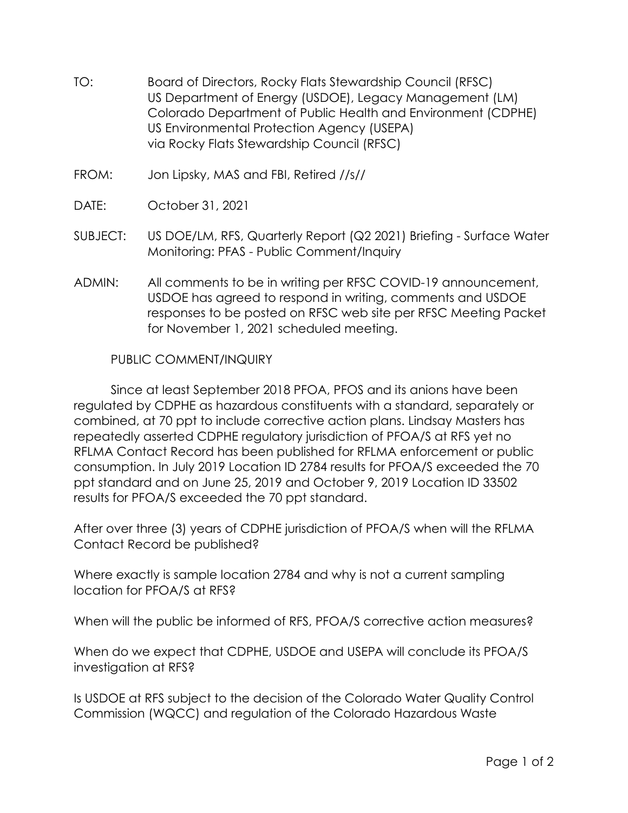- TO: Board of Directors, Rocky Flats Stewardship Council (RFSC) US Department of Energy (USDOE), Legacy Management (LM) Colorado Department of Public Health and Environment (CDPHE) US Environmental Protection Agency (USEPA) via Rocky Flats Stewardship Council (RFSC)
- FROM: Jon Lipsky, MAS and FBI, Retired //s//
- DATE: October 31, 2021
- SUBJECT: US DOE/LM, RFS, Quarterly Report (Q2 2021) Briefing Surface Water Monitoring: PFAS - Public Comment/Inquiry
- ADMIN: All comments to be in writing per RFSC COVID-19 announcement, USDOE has agreed to respond in writing, comments and USDOE responses to be posted on RFSC web site per RFSC Meeting Packet for November 1, 2021 scheduled meeting.

## PUBLIC COMMENT/INQUIRY

Since at least September 2018 PFOA, PFOS and its anions have been regulated by CDPHE as hazardous constituents with a standard, separately or combined, at 70 ppt to include corrective action plans. Lindsay Masters has repeatedly asserted CDPHE regulatory jurisdiction of PFOA/S at RFS yet no RFLMA Contact Record has been published for RFLMA enforcement or public consumption. In July 2019 Location ID 2784 results for PFOA/S exceeded the 70 ppt standard and on June 25, 2019 and October 9, 2019 Location ID 33502 results for PFOA/S exceeded the 70 ppt standard.

After over three (3) years of CDPHE jurisdiction of PFOA/S when will the RFLMA Contact Record be published?

Where exactly is sample location 2784 and why is not a current sampling location for PFOA/S at RFS?

When will the public be informed of RFS, PFOA/S corrective action measures?

When do we expect that CDPHE, USDOE and USEPA will conclude its PFOA/S investigation at RFS?

Is USDOE at RFS subject to the decision of the Colorado Water Quality Control Commission (WQCC) and regulation of the Colorado Hazardous Waste